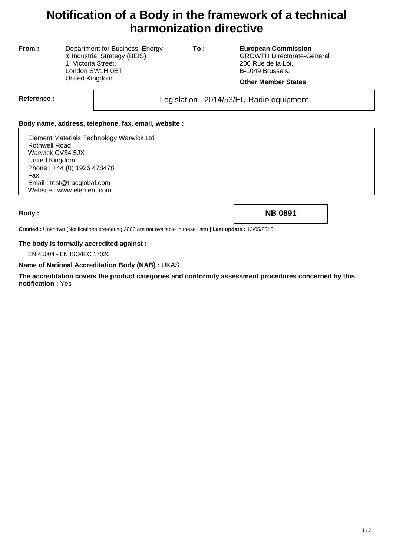# **Notification of a Body in the framework of a technical harmonization directive**

**From :** Department for Business, Energy & Industrial Strategy (BEIS) 1, Victoria Street, London SW1H 0ET United Kingdom

**To : European Commission** GROWTH Directorate-General 200 Rue de la Loi, B-1049 Brussels.

## **Other Member States**

Reference : and all all the contracts are legislation : 2014/53/EU Radio equipment

# **Body name, address, telephone, fax, email, website :**

Element Materials Technology Warwick Ltd Rothwell Road Warwick CV34 5JX United Kingdom Phone : +44 (0) 1926 478478 Fax : Email : test@tracglobal.com Website : www.element.com

**Body : NB 0891**

**Created :** Unknown (Notifications pre-dating 2006 are not available in these lists) **| Last update :** 12/05/2016

#### **The body is formally accredited against :**

EN 45004 - EN ISO/IEC 17020

## **Name of National Accreditation Body (NAB) :** UKAS

**The accreditation covers the product categories and conformity assessment procedures concerned by this notification :** Yes